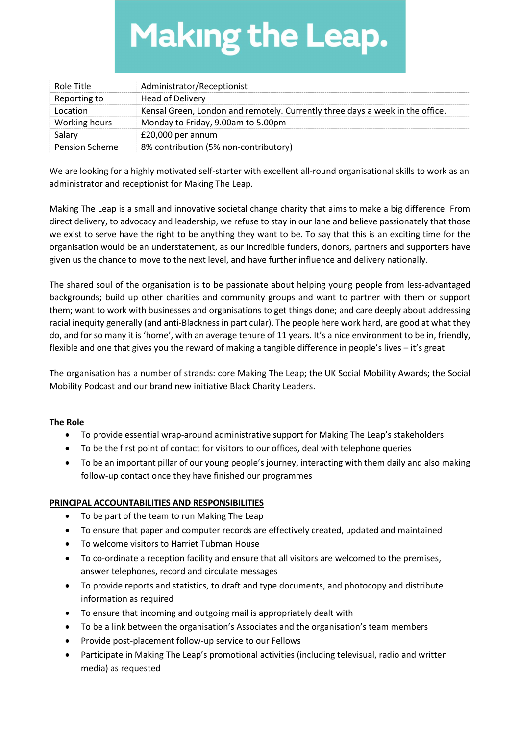# **Making the Leap.**

| Role Title            | Administrator/Receptionist                                                    |
|-----------------------|-------------------------------------------------------------------------------|
| Reporting to          | Head of Delivery                                                              |
| Location              | Kensal Green, London and remotely. Currently three days a week in the office. |
| Working hours         | Monday to Friday, 9.00am to 5.00pm                                            |
| Salary                | £20,000 per annum                                                             |
| <b>Pension Scheme</b> | 8% contribution (5% non-contributory)                                         |

We are looking for a highly motivated self-starter with excellent all-round organisational skills to work as an administrator and receptionist for Making The Leap.

Making The Leap is a small and innovative societal change charity that aims to make a big difference. From direct delivery, to advocacy and leadership, we refuse to stay in our lane and believe passionately that those we exist to serve have the right to be anything they want to be. To say that this is an exciting time for the organisation would be an understatement, as our incredible funders, donors, partners and supporters have given us the chance to move to the next level, and have further influence and delivery nationally.

The shared soul of the organisation is to be passionate about helping young people from less-advantaged backgrounds; build up other charities and community groups and want to partner with them or support them; want to work with businesses and organisations to get things done; and care deeply about addressing racial inequity generally (and anti-Blackness in particular). The people here work hard, are good at what they do, and for so many it is 'home', with an average tenure of 11 years. It's a nice environment to be in, friendly, flexible and one that gives you the reward of making a tangible difference in people's lives – it's great.

The organisation has a number of strands: core Making The Leap; the UK Social Mobility Awards; the Social Mobility Podcast and our brand new initiative Black Charity Leaders.

# The Role

- To provide essential wrap-around administrative support for Making The Leap's stakeholders
- To be the first point of contact for visitors to our offices, deal with telephone queries
- To be an important pillar of our young people's journey, interacting with them daily and also making follow-up contact once they have finished our programmes

# PRINCIPAL ACCOUNTABILITIES AND RESPONSIBILITIES

- To be part of the team to run Making The Leap
- To ensure that paper and computer records are effectively created, updated and maintained
- To welcome visitors to Harriet Tubman House
- To co-ordinate a reception facility and ensure that all visitors are welcomed to the premises, answer telephones, record and circulate messages
- To provide reports and statistics, to draft and type documents, and photocopy and distribute information as required
- To ensure that incoming and outgoing mail is appropriately dealt with
- To be a link between the organisation's Associates and the organisation's team members
- Provide post-placement follow-up service to our Fellows
- Participate in Making The Leap's promotional activities (including televisual, radio and written media) as requested